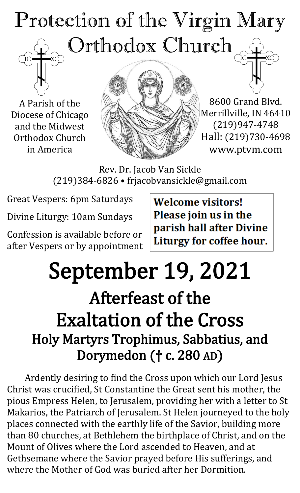# Protection of the Virgin Mary Orthodox Church

A Parish of the Diocese of Chicago and the Midwest Orthodox Church in America



8600 Grand Blvd. Merrillville, IN 46410 (219)947-4748 Hall: (219)730-4698 www.ptvm.com

Rev. Dr. Jacob Van Sickle (219)384-6826 • frjacobvansickle@gmail.com

Great Vespers: 6pm Saturdays

Divine Liturgy: 10am Sundays

Confession is available before or after Vespers or by appointment **Welcome visitors!** Please join us in the parish hall after Divine Liturgy for coffee hour.

# September 19, 2021

# Afterfeast of the Exaltation of the Cross Holy Martyrs Trophimus, Sabbatius, and Dorymedon († c. 280 AD)

Ardently desiring to find the Cross upon which our Lord Jesus Christ was crucified, St Constantine the Great sent his mother, the pious Empress Helen, to Jerusalem, providing her with a letter to St Makarios, the Patriarch of Jerusalem. St Helen journeyed to the holy places connected with the earthly life of the Savior, building more than 80 churches, at Bethlehem the birthplace of Christ, and on the Mount of Olives where the Lord ascended to Heaven, and at Gethsemane where the Savior prayed before His sufferings, and where the Mother of God was buried after her Dormition.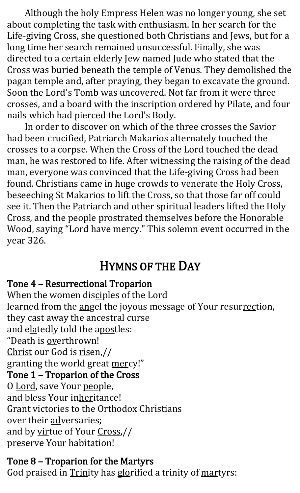Although the holy Empress Helen was no longer young, she set about completing the task with enthusiasm. In her search for the Life-giving Cross, she questioned both Christians and Jews, but for a long time her search remained unsuccessful. Finally, she was directed to a certain elderly Jew named Jude who stated that the Cross was buried beneath the temple of Venus. They demolished the pagan temple and, after praying, they began to excavate the ground. Soon the Lord's Tomb was uncovered. Not far from it were three crosses, and a board with the inscription ordered by Pilate, and four nails which had pierced the Lord's Body.

In order to discover on which of the three crosses the Savior had been crucified, Patriarch Makarios alternately touched the crosses to a corpse. When the Cross of the Lord touched the dead man, he was restored to life. After witnessing the raising of the dead man, everyone was convinced that the Life-giving Cross had been found. Christians came in huge crowds to venerate the Holy Cross, beseeching St Makarios to lift the Cross, so that those far off could see it. Then the Patriarch and other spiritual leaders lifted the Holy Cross, and the people prostrated themselves before the Honorable Wood, saying "Lord have mercy." This solemn event occurred in the year 326.

### HYMNS OF THE DAY

#### Tone 4 – Resurrectional Troparion

When the women disciples of the Lord learned from the angel the joyous message of Your resurrection, they cast away the ancestral curse and elatedly told the apostles: "Death is overthrown! Christ our God is risen,// granting the world great mercy!" Tone 1 – Troparion of the Cross O Lord, save Your people, and bless Your inheritance! Grant victories to the Orthodox Christians over their adversaries; and by virtue of Your Cross,// preserve Your habitation!

#### Tone 8 – Troparion for the Martyrs

God praised in Trinity has glorified a trinity of martyrs: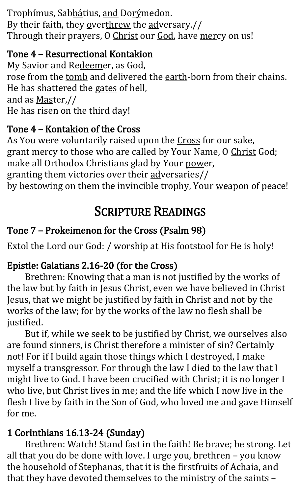Trophímus, Sabbátius, and Dorýmedon. By their faith, they overthrew the adversary.// Through their prayers, O Christ our God, have mercy on us!

#### Tone 4 – Resurrectional Kontakion

My Savior and Redeemer, as God, rose from the tomb and delivered the earth-born from their chains. He has shattered the gates of hell, and as Master,// He has risen on the third day!

#### Tone 4 – Kontakion of the Cross

As You were voluntarily raised upon the Cross for our sake, grant mercy to those who are called by Your Name, O Christ God; make all Orthodox Christians glad by Your power, granting them victories over their adversaries// by bestowing on them the invincible trophy, Your weapon of peace!

### SCRIPTURE READINGS

#### Tone 7 – Prokeimenon for the Cross (Psalm 98)

Extol the Lord our God: / worship at His footstool for He is holy!

#### Epistle: Galatians 2.16-20 (for the Cross)

Brethren: Knowing that a man is not justified by the works of the law but by faith in Jesus Christ, even we have believed in Christ Jesus, that we might be justified by faith in Christ and not by the works of the law; for by the works of the law no flesh shall be justified.

But if, while we seek to be justified by Christ, we ourselves also are found sinners, is Christ therefore a minister of sin? Certainly not! For if I build again those things which I destroyed, I make myself a transgressor. For through the law I died to the law that I might live to God. I have been crucified with Christ; it is no longer I who live, but Christ lives in me; and the life which I now live in the flesh I live by faith in the Son of God, who loved me and gave Himself for me.

#### 1 Corinthians 16.13-24 (Sunday)

Brethren: Watch! Stand fast in the faith! Be brave; be strong. Let all that you do be done with love. I urge you, brethren – you know the household of Stephanas, that it is the firstfruits of Achaia, and that they have devoted themselves to the ministry of the saints –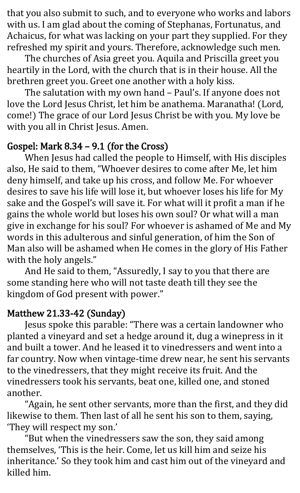that you also submit to such, and to everyone who works and labors with us. I am glad about the coming of Stephanas, Fortunatus, and Achaicus, for what was lacking on your part they supplied. For they refreshed my spirit and yours. Therefore, acknowledge such men.

The churches of Asia greet you. Aquila and Priscilla greet you heartily in the Lord, with the church that is in their house. All the brethren greet you. Greet one another with a holy kiss.

The salutation with my own hand – Paul's. If anyone does not love the Lord Jesus Christ, let him be anathema. Maranatha! (Lord, come!) The grace of our Lord Jesus Christ be with you. My love be with you all in Christ Jesus. Amen.

#### Gospel: Mark 8.34 – 9.1 (for the Cross)

When Jesus had called the people to Himself, with His disciples also, He said to them, "Whoever desires to come after Me, let him deny himself, and take up his cross, and follow Me. For whoever desires to save his life will lose it, but whoever loses his life for My sake and the Gospel's will save it. For what will it profit a man if he gains the whole world but loses his own soul? Or what will a man give in exchange for his soul? For whoever is ashamed of Me and My words in this adulterous and sinful generation, of him the Son of Man also will be ashamed when He comes in the glory of His Father with the holy angels."

And He said to them, "Assuredly, I say to you that there are some standing here who will not taste death till they see the kingdom of God present with power."

#### Matthew 21.33-42 (Sunday)

Jesus spoke this parable: "There was a certain landowner who planted a vineyard and set a hedge around it, dug a winepress in it and built a tower. And he leased it to vinedressers and went into a far country. Now when vintage-time drew near, he sent his servants to the vinedressers, that they might receive its fruit. And the vinedressers took his servants, beat one, killed one, and stoned another.

"Again, he sent other servants, more than the first, and they did likewise to them. Then last of all he sent his son to them, saying, 'They will respect my son.'

"But when the vinedressers saw the son, they said among themselves, 'This is the heir. Come, let us kill him and seize his inheritance.' So they took him and cast him out of the vineyard and killed him.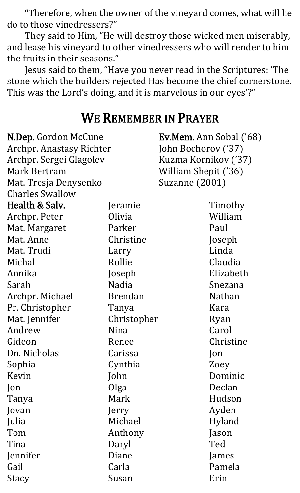"Therefore, when the owner of the vineyard comes, what will he do to those vinedressers?"

They said to Him, "He will destroy those wicked men miserably, and lease his vineyard to other vinedressers who will render to him the fruits in their seasons."

Jesus said to them, "Have you never read in the Scriptures: 'The stone which the builders rejected Has become the chief cornerstone. This was the Lord's doing, and it is marvelous in our eyes'?"

#### WE REMEMBER IN PRAYER

| N.Dep. Gordon McCune            |                | Ev.Mem. Ann Sobal ('68) |  |
|---------------------------------|----------------|-------------------------|--|
| <b>Archpr. Anastasy Richter</b> |                | John Bochorov ('37)     |  |
| Archpr. Sergei Glagolev         |                | Kuzma Kornikov ('37)    |  |
| Mark Bertram                    |                | William Shepit ('36)    |  |
| Mat. Tresja Denysenko           |                | Suzanne (2001)          |  |
| <b>Charles Swallow</b>          |                |                         |  |
| Health & Salv.                  | Jeramie        | Timothy                 |  |
| Archpr. Peter                   | Olivia         | William                 |  |
| Mat. Margaret                   | Parker         | Paul                    |  |
| Mat. Anne                       | Christine      | Joseph                  |  |
| Mat. Trudi                      | Larry          | Linda                   |  |
| Michal                          | Rollie         | Claudia                 |  |
| Annika                          | Joseph         | Elizabeth               |  |
| Sarah                           | <b>Nadia</b>   | Snezana                 |  |
| Archpr. Michael                 | <b>Brendan</b> | Nathan                  |  |
| Pr. Christopher                 | Tanya          | Kara                    |  |
| Mat. Jennifer                   | Christopher    | Ryan                    |  |
| Andrew                          | Nina           | Carol                   |  |
| Gideon                          | Renee          | Christine               |  |
| Dn. Nicholas                    | Carissa        | Jon                     |  |
| Sophia                          | Cynthia        | Zoey                    |  |
| Kevin                           | John           | Dominic                 |  |
| $\mathsf{lon}$                  | Olga           | Declan                  |  |
| Tanya                           | Mark           | Hudson                  |  |
| Jovan                           | Jerry          | Ayden                   |  |
| Julia                           | Michael        | Hyland                  |  |
| Tom                             | Anthony        | Jason                   |  |
| Tina                            | Daryl          | Ted                     |  |
| Jennifer                        | Diane          | James                   |  |
| Gail                            | Carla          | Pamela                  |  |
| Stacy                           | Susan          | Erin                    |  |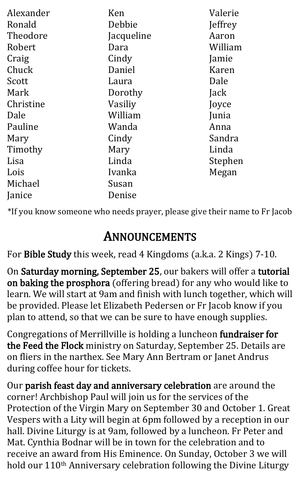| Alexander | Ken        | Valerie |
|-----------|------------|---------|
|           |            |         |
| Ronald    | Debbie     | Jeffrey |
| Theodore  | Jacqueline | Aaron   |
| Robert    | Dara       | William |
| Craig     | Cindy      | Jamie   |
| Chuck     | Daniel     | Karen   |
| Scott     | Laura      | Dale    |
| Mark      | Dorothy    | Jack    |
| Christine | Vasiliy    | Joyce   |
| Dale      | William    | Junia   |
| Pauline   | Wanda      | Anna    |
| Mary      | Cindy      | Sandra  |
| Timothy   | Mary       | Linda   |
| Lisa      | Linda      | Stephen |
| Lois      | Ivanka     | Megan   |
| Michael   | Susan      |         |
| Janice    | Denise     |         |

\*If you know someone who needs prayer, please give their name to Fr Jacob

## ANNOUNCEMENTS

For Bible Study this week, read 4 Kingdoms (a.k.a. 2 Kings) 7-10.

On Saturday morning, September 25, our bakers will offer a tutorial on baking the prosphora (offering bread) for any who would like to learn. We will start at 9am and finish with lunch together, which will be provided. Please let Elizabeth Pedersen or Fr Jacob know if you plan to attend, so that we can be sure to have enough supplies.

Congregations of Merrillville is holding a luncheon fundraiser for the Feed the Flock ministry on Saturday, September 25. Details are on fliers in the narthex. See Mary Ann Bertram or Janet Andrus during coffee hour for tickets.

Our parish feast day and anniversary celebration are around the corner! Archbishop Paul will join us for the services of the Protection of the Virgin Mary on September 30 and October 1. Great Vespers with a Lity will begin at 6pm followed by a reception in our hall. Divine Liturgy is at 9am, followed by a luncheon. Fr Peter and Mat. Cynthia Bodnar will be in town for the celebration and to receive an award from His Eminence. On Sunday, October 3 we will hold our 110<sup>th</sup> Anniversary celebration following the Divine Liturgy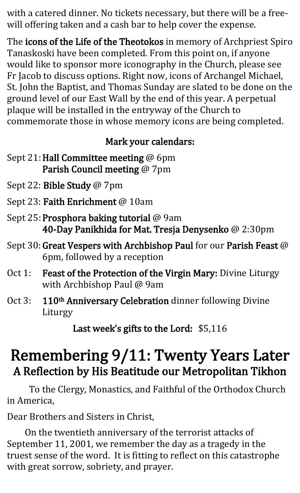with a catered dinner. No tickets necessary, but there will be a freewill offering taken and a cash bar to help cover the expense.

The icons of the Life of the Theotokos in memory of Archpriest Spiro Tanaskoski have been completed. From this point on, if anyone would like to sponsor more iconography in the Church, please see Fr Jacob to discuss options. Right now, icons of Archangel Michael, St. John the Baptist, and Thomas Sunday are slated to be done on the ground level of our East Wall by the end of this year. A perpetual plaque will be installed in the entryway of the Church to commemorate those in whose memory icons are being completed.

#### Mark your calendars:

- Sept 21: Hall Committee meeting @ 6pm Parish Council meeting @ 7pm
- Sept 22: Bible Study @ 7pm
- Sept 23: Faith Enrichment @ 10am
- Sept 25: Prosphora baking tutorial @ 9am 40-Day Panikhida for Mat. Tresja Denysenko @ 2:30pm
- Sept 30: Great Vespers with Archbishop Paul for our Parish Feast @ 6pm, followed by a reception
- Oct 1: Feast of the Protection of the Virgin Mary: Divine Liturgy with Archbishop Paul @ 9am
- Oct 3: 110<sup>th</sup> Anniversary Celebration dinner following Divine Liturgy

Last week's gifts to the Lord: \$5,116

# Remembering 9/11: Twenty Years Later A Reflection by His Beatitude our Metropolitan Tikhon

 To the Clergy, Monastics, and Faithful of the Orthodox Church in America,

Dear Brothers and Sisters in Christ,

On the twentieth anniversary of the terrorist attacks of September 11, 2001, we remember the day as a tragedy in the truest sense of the word. It is fitting to reflect on this catastrophe with great sorrow, sobriety, and prayer.